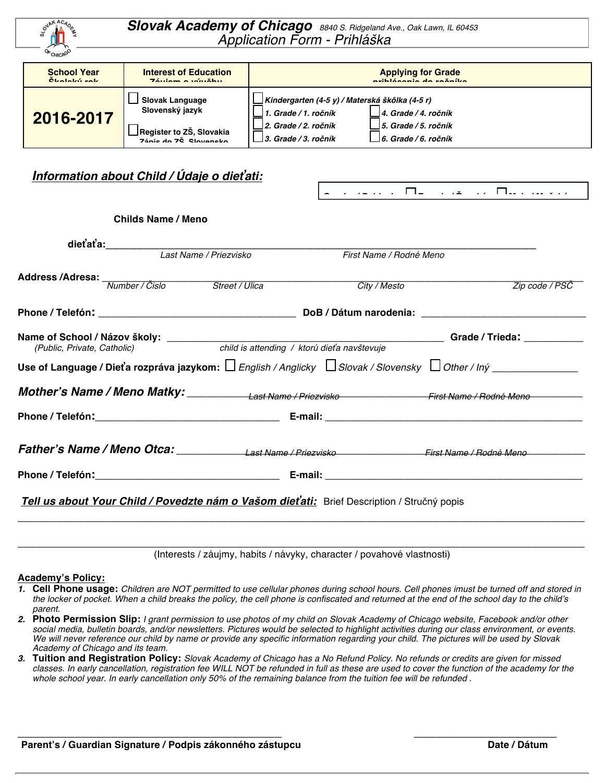

*Slovak Academy of Chicago 8840 S. Ridgeland Ave., Oak Lawn, IL <sup>60453</sup> Application Form - Prihlá*š*ka*

| <b>School Year</b> | <b>Interest of Education</b>                                                                      | <b>Applying for Grade</b>                                                                                                                                                                           |  |
|--------------------|---------------------------------------------------------------------------------------------------|-----------------------------------------------------------------------------------------------------------------------------------------------------------------------------------------------------|--|
| Cleatele's uale    | $74cm = m(n)$                                                                                     | لمعاكسة وسلماها والمتواط والماضو                                                                                                                                                                    |  |
| 2016-2017          | <b>Slovak Language</b><br>Slovenský jazyk<br>_∏Register to ZŠ, Slovakia<br>Zánie do ZŠ. Slovensko | ∐Kindergarten (4-5 y) / Materská škôlka (4-5 r)<br>14. Grade / 4. ročník<br>. Grade / 1. ročník<br>12. Grade / 2. ročník<br>15. Grade / 5. ročník<br>$3.$ Grade / 3. ročník<br>6. Grade / 6. ročník |  |

## *Information about Child / Údaje o die***ť***ati:*

| Childs Name / Meno                                                                                                                                                                                                                                                          |  |                         |                |  |
|-----------------------------------------------------------------------------------------------------------------------------------------------------------------------------------------------------------------------------------------------------------------------------|--|-------------------------|----------------|--|
| dieťaťa:<br>Last Name / Priezvisko                                                                                                                                                                                                                                          |  |                         |                |  |
|                                                                                                                                                                                                                                                                             |  | First Name / Rodné Meno |                |  |
| Address /Adresa: Walder / Čislo Montral / <i>Street / Ulica</i> Montral <i>Mumber / Čislo</i> Montral <i>Street / Ulica</i> Montral <i>Mumber / Čislo</i> Montral <i>Address</i> / <i>Clica</i> Montral <i>Mumber / Čislo</i> Montral <i>Address</i> / <i>Clica</i> Montral |  | City / Mesto            | Zip code / PSČ |  |
|                                                                                                                                                                                                                                                                             |  |                         |                |  |
| (Public, Private, Catholic) child is attending / ktorú dieťa navštevuje                                                                                                                                                                                                     |  |                         |                |  |
| Use of Language / Dieťa rozpráva jazykom: $\Box$ English / Anglicky $\Box$ Slovak / Slovensky $\Box$ Other / Iný _____________                                                                                                                                              |  |                         |                |  |
|                                                                                                                                                                                                                                                                             |  |                         |                |  |
|                                                                                                                                                                                                                                                                             |  |                         |                |  |
|                                                                                                                                                                                                                                                                             |  |                         |                |  |
|                                                                                                                                                                                                                                                                             |  |                         |                |  |
| Tell us about Your Child / Povedzte nám o Vašom dieťati: Brief Description / Stručný popis                                                                                                                                                                                  |  |                         |                |  |

\_\_\_\_\_\_\_\_\_\_\_\_\_\_\_\_\_\_\_\_\_\_\_\_\_\_\_\_\_\_\_\_\_\_\_\_\_\_\_\_\_\_\_\_\_\_\_\_\_\_\_\_\_\_\_\_\_\_\_\_\_\_\_\_\_\_\_\_\_\_\_\_\_\_\_\_\_\_\_\_\_\_\_\_\_\_ (Interests / záujmy, habits / návyky, character / povahové vlastnosti)

#### **Academy's Policy:**

- 1. Cell Phone usage: Children are NOT permitted to use cellular phones during school hours. Cell phones imust be turned off and stored in the locker of pocket. When a child breaks the policy, the cell phone is confiscated and returned at the end of the school day to the child's *parent.*
- 2. Photo Permission Slip: I grant permission to use photos of my child on Slovak Academy of Chicago website, Facebook and/or other social media, bulletin boards, and/or newsletters. Pictures would be selected to highlight activities during our class environment, or events. We will never reference our child by name or provide any specific information regarding your child. The pictures will be used by Slovak *Academy of Chicago and its team.*
- 3. Tuition and Registration Policy: Slovak Academy of Chicago has a No Refund Policy. No refunds or credits are given for missed classes. In early cancellation, registration fee WILL NOT be refunded in full as these are used to cover the function of the academy for the whole school year. In early cancellation only 50% of the remaining balance from the tuition fee will be refunded.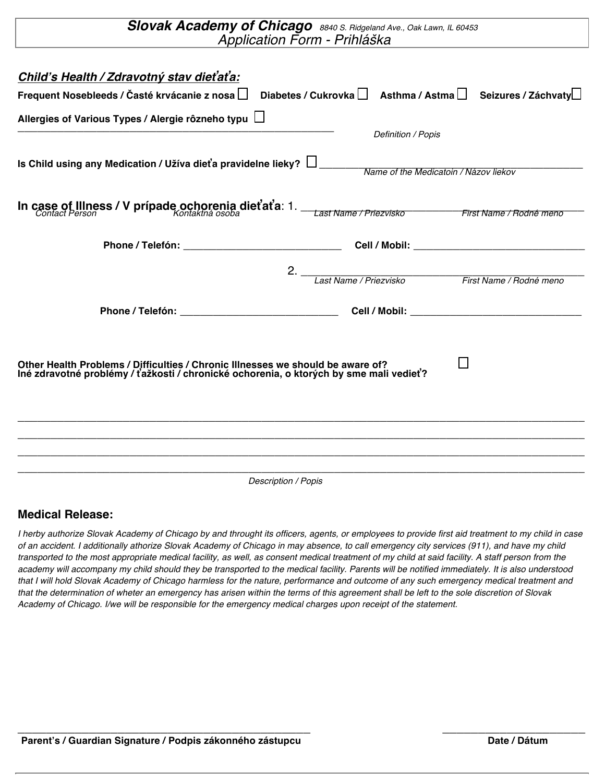| Slovak Academy of Chicago 8840 S. Ridgeland Ave., Oak Lawn, IL 60453                                                                                                                                                                                          | Application Form - Prihláška                         |                                                                             |  |  |  |
|---------------------------------------------------------------------------------------------------------------------------------------------------------------------------------------------------------------------------------------------------------------|------------------------------------------------------|-----------------------------------------------------------------------------|--|--|--|
| Child's Health / Zdravotný stav dieťaťa:<br>Frequent Nosebleeds / Časté krvácanie z nosa                                                                                                                                                                      |                                                      | Diabetes / Cukrovka $\Box$ Asthma / Astma $\Box$ Seizures / Záchvaty $\Box$ |  |  |  |
| Allergies of Various Types / Alergie rôzneho typu $\Box$                                                                                                                                                                                                      | Definition / Popis                                   |                                                                             |  |  |  |
| Is Child using any Medication / Užíva dieťa pravidelne lieky? [1] Name of the Medicatoin / Názov liekov                                                                                                                                                       |                                                      |                                                                             |  |  |  |
| In case of Illness / V prípade ochorenia dieťaťa: 1. __ Last Name / Priezvisko _______________________________<br>Contact Person                                                                                                                              |                                                      |                                                                             |  |  |  |
|                                                                                                                                                                                                                                                               |                                                      |                                                                             |  |  |  |
|                                                                                                                                                                                                                                                               | 2. Last Name / Priezvisko<br>First Name / Rodné meno |                                                                             |  |  |  |
|                                                                                                                                                                                                                                                               |                                                      |                                                                             |  |  |  |
| Other Health Problems / Difficulties / Chronic Illnesses we should be aware of?<br>Iné zdravotné problémy / ťažkosti / chronické ochorenia, o ktorých by sme mali vedieť?<br>,我们也不能在这里的时候,我们也不能在这里的时候,我们也不能会在这里,我们也不能会在这里的时候,我们也不能会在这里的时候,我们也不能会在这里的时候,我们也不能会 |                                                      |                                                                             |  |  |  |
|                                                                                                                                                                                                                                                               |                                                      |                                                                             |  |  |  |
| ,我们也不能在这里的时候,我们也不能在这里的时候,我们也不能在这里的时候,我们也不能会不能在这里的时候,我们也不能会不能会不能会不能会不能会不能会不能会不能会不<br><b>Description / Popis</b>                                                                                                                                                |                                                      |                                                                             |  |  |  |

### **Medical Release:**

I herby authorize Slovak Academy of Chicago by and throught its officers, agents, or employees to provide first aid treatment to my child in case of an accident. I additionally athorize Slovak Academy of Chicago in may absence, to call emergency city services (911), and have my child transported to the most appropriate medical facility, as well, as consent medical treatment of my child at said facility. A staff person from the academy will accompany my child should they be transported to the medical facility. Parents will be notified immediately. It is also understood that I will hold Slovak Academy of Chicago harmless for the nature, performance and outcome of any such emergency medical treatment and that the determination of wheter an emergency has arisen within the terms of this agreement shall be left to the sole discretion of Slovak Academy of Chicago. I/we will be responsible for the emergency medical charges upon receipt of the statement.

\_\_\_\_\_\_\_\_\_\_\_\_\_\_\_\_\_\_\_\_\_\_\_\_\_\_\_\_\_\_\_\_\_\_\_\_\_\_\_\_\_ \_\_\_\_\_\_\_\_\_\_\_\_\_\_\_\_\_\_\_\_